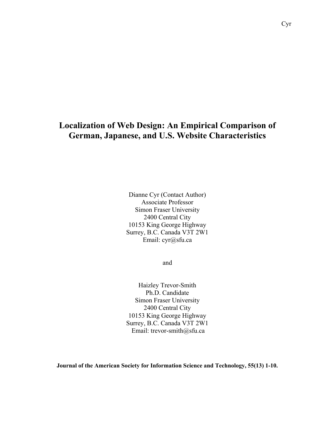# **Localization of Web Design: An Empirical Comparison of German, Japanese, and U.S. Website Characteristics**

Dianne Cyr (Contact Author) Associate Professor Simon Fraser University 2400 Central City 10153 King George Highway Surrey, B.C. Canada V3T 2W1 Email: cyr@sfu.ca

and

Haizley Trevor-Smith Ph.D. Candidate Simon Fraser University 2400 Central City 10153 King George Highway Surrey, B.C. Canada V3T 2W1 Email: trevor-smith@sfu.ca

**Journal of the American Society for Information Science and Technology, 55(13) 1-10.**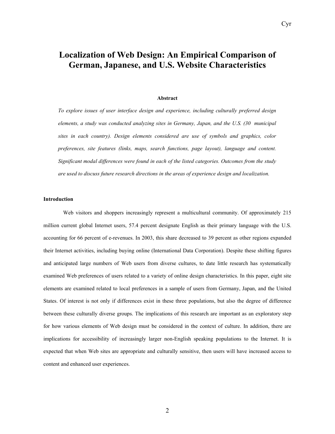Cyr

#### **Abstract**

*To explore issues of user interface design and experience, including culturally preferred design elements, a study was conducted analyzing sites in Germany, Japan, and the U.S. (30 municipal sites in each country). Design elements considered are use of symbols and graphics, color preferences, site features (links, maps, search functions, page layout), language and content. Significant modal differences were found in each of the listed categories. Outcomes from the study are used to discuss future research directions in the areas of experience design and localization.* 

## **Introduction**

Web visitors and shoppers increasingly represent a multicultural community. Of approximately 215 million current global Internet users, 57.4 percent designate English as their primary language with the U.S. accounting for 66 percent of e-revenues. In 2003, this share decreased to 39 percent as other regions expanded their Internet activities, including buying online (International Data Corporation). Despite these shifting figures and anticipated large numbers of Web users from diverse cultures, to date little research has systematically examined Web preferences of users related to a variety of online design characteristics. In this paper, eight site elements are examined related to local preferences in a sample of users from Germany, Japan, and the United States. Of interest is not only if differences exist in these three populations, but also the degree of difference between these culturally diverse groups. The implications of this research are important as an exploratory step for how various elements of Web design must be considered in the context of culture. In addition, there are implications for accessibility of increasingly larger non-English speaking populations to the Internet. It is expected that when Web sites are appropriate and culturally sensitive, then users will have increased access to content and enhanced user experiences.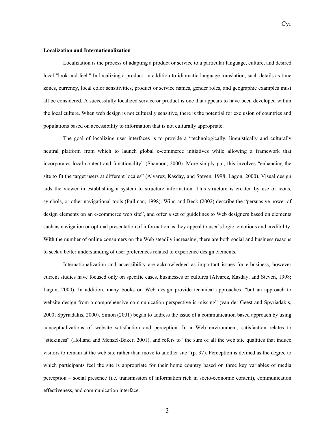#### **Localization and Internationalization**

Localization is the process of adapting a product or service to a particular language, culture, and desired local "look-and-feel." In localizing a product, in addition to idiomatic language translation, such details as time zones, currency, local color sensitivities, product or service names, gender roles, and geographic examples must all be considered. A successfully localized service or product is one that appears to have been developed within the local culture. When web design is not culturally sensitive, there is the potential for exclusion of countries and populations based on accessibility to information that is not culturally appropriate.

The goal of localizing user interfaces is to provide a "technologically, linguistically and culturally neutral platform from which to launch global e-commerce initiatives while allowing a framework that incorporates local content and functionality" (Shannon, 2000). More simply put, this involves "enhancing the site to fit the target users at different locales" (Alvarez, Kasday, and Steven, 1998; Lagon, 2000). Visual design aids the viewer in establishing a system to structure information. This structure is created by use of icons, symbols, or other navigational tools (Pullman, 1998). Winn and Beck (2002) describe the "persuasive power of design elements on an e-commerce web site", and offer a set of guidelines to Web designers based on elements such as navigation or optimal presentation of information as they appeal to user's logic, emotions and credibility. With the number of online consumers on the Web steadily increasing, there are both social and business reasons to seek a better understanding of user preferences related to experience design elements.

Internationalization and accessibility are acknowledged as important issues for e-business, however current studies have focused only on specific cases, businesses or cultures (Alvarez, Kasday, and Steven, 1998; Lagon, 2000). In addition, many books on Web design provide technical approaches, "but an approach to website design from a comprehensive communication perspective is missing" (van der Geest and Spyriadakis, 2000; Spyriadakis, 2000). Simon (2001) began to address the issue of a communication based approach by using conceptualizations of website satisfaction and perception. In a Web environment, satisfaction relates to "stickiness" (Holland and Menzel-Baker, 2001), and refers to "the sum of all the web site qualities that induce visitors to remain at the web site rather than move to another site" (p. 37). Perception is defined as the degree to which participants feel the site is appropriate for their home country based on three key variables of media perception – social presence (i.e. transmission of information rich in socio-economic content), communication effectiveness, and communication interface.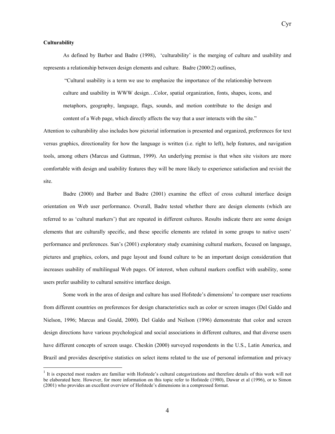Cyr

## **Culturability**

 $\overline{a}$ 

As defined by Barber and Badre (1998), 'culturability' is the merging of culture and usability and represents a relationship between design elements and culture. Badre (2000:2) outlines,

 "Cultural usability is a term we use to emphasize the importance of the relationship between culture and usability in WWW design…Color, spatial organization, fonts, shapes, icons, and metaphors, geography, language, flags, sounds, and motion contribute to the design and content of a Web page, which directly affects the way that a user interacts with the site."

Attention to culturability also includes how pictorial information is presented and organized, preferences for text versus graphics, directionality for how the language is written (i.e. right to left), help features, and navigation tools, among others (Marcus and Guttman, 1999). An underlying premise is that when site visitors are more comfortable with design and usability features they will be more likely to experience satisfaction and revisit the site.

Badre (2000) and Barber and Badre (2001) examine the effect of cross cultural interface design orientation on Web user performance. Overall, Badre tested whether there are design elements (which are referred to as 'cultural markers') that are repeated in different cultures. Results indicate there are some design elements that are culturally specific, and these specific elements are related in some groups to native users' performance and preferences. Sun's (2001) exploratory study examining cultural markers, focused on language, pictures and graphics, colors, and page layout and found culture to be an important design consideration that increases usability of multilingual Web pages. Of interest, when cultural markers conflict with usability, some users prefer usability to cultural sensitive interface design.

Some work in the area of design and culture has used Hofstede's dimensions<sup>1</sup> to compare user reactions from different countries on preferences for design characteristics such as color or screen images (Del Galdo and Nielson, 1996; Marcus and Gould, 2000). Del Galdo and Neilson (1996) demonstrate that color and screen design directions have various psychological and social associations in different cultures, and that diverse users have different concepts of screen usage. Cheskin (2000) surveyed respondents in the U.S., Latin America, and Brazil and provides descriptive statistics on select items related to the use of personal information and privacy

 $<sup>1</sup>$  It is expected most readers are familiar with Hofstede's cultural categorizations and therefore details of this work will not</sup> be elaborated here. However, for more information on this topic refer to Hofstede (1980), Dawar et al (1996), or to Simon (2001) who provides an excellent overview of Hofstede's dimensions in a compressed format.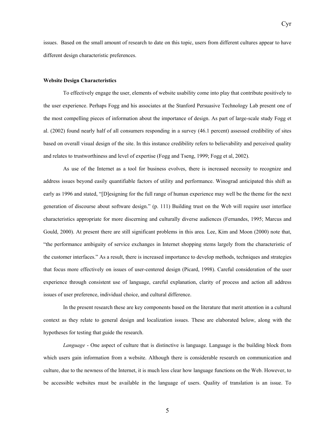issues. Based on the small amount of research to date on this topic, users from different cultures appear to have different design characteristic preferences.

Cyr

#### **Website Design Characteristics**

To effectively engage the user, elements of website usability come into play that contribute positively to the user experience. Perhaps Fogg and his associates at the Stanford Persuasive Technology Lab present one of the most compelling pieces of information about the importance of design. As part of large-scale study Fogg et al. (2002) found nearly half of all consumers responding in a survey (46.1 percent) assessed credibility of sites based on overall visual design of the site. In this instance credibility refers to believability and perceived quality and relates to trustworthiness and level of expertise (Fogg and Tseng, 1999; Fogg et al, 2002).

As use of the Internet as a tool for business evolves, there is increased necessity to recognize and address issues beyond easily quantifiable factors of utility and performance. Winograd anticipated this shift as early as 1996 and stated, "[D]esigning for the full range of human experience may well be the theme for the next generation of discourse about software design." (p. 111) Building trust on the Web will require user interface characteristics appropriate for more discerning and culturally diverse audiences (Fernandes, 1995; Marcus and Gould, 2000). At present there are still significant problems in this area. Lee, Kim and Moon (2000) note that, "the performance ambiguity of service exchanges in Internet shopping stems largely from the characteristic of the customer interfaces." As a result, there is increased importance to develop methods, techniques and strategies that focus more effectively on issues of user-centered design (Picard, 1998). Careful consideration of the user experience through consistent use of language, careful explanation, clarity of process and action all address issues of user preference, individual choice, and cultural difference.

In the present research these are key components based on the literature that merit attention in a cultural context as they relate to general design and localization issues. These are elaborated below, along with the hypotheses for testing that guide the research.

*Language* - One aspect of culture that is distinctive is language. Language is the building block from which users gain information from a website. Although there is considerable research on communication and culture, due to the newness of the Internet, it is much less clear how language functions on the Web. However, to be accessible websites must be available in the language of users. Quality of translation is an issue. To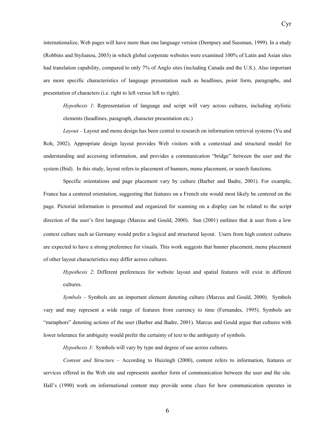internationalize, Web pages will have more than one language version (Dempsey and Sussman, 1999). In a study (Robbins and Stylianou, 2003) in which global corporate websites were examined 100% of Latin and Asian sites had translation capability, compared to only 7% of Anglo sites (including Canada and the U.S.). Also important are more specific characteristics of language presentation such as headlines, point form, paragraphs, and presentation of characters (i.e. right to left versus left to right).

*Hypothesis 1*: Representation of language and script will vary across cultures, including stylistic elements (headlines, paragraph, character presentation etc.)

*Layout* – Layout and menu design has been central to research on information retrieval systems (Yu and Roh, 2002). Appropriate design layout provides Web visitors with a contextual and structural model for understanding and accessing information, and provides a communication "bridge" between the user and the system (Ibid). In this study, layout refers to placement of banners, menu placement, or search functions.

Specific orientations and page placement vary by culture (Barber and Badre, 2001). For example, France has a centered orientation, suggesting that features on a French site would most likely be centered on the page. Pictorial information is presented and organized for scanning on a display can be related to the script direction of the user's first language (Marcus and Gould, 2000). Sun (2001) outlines that a user from a low context culture such as Germany would prefer a logical and structured layout. Users from high context cultures are expected to have a strong preference for visuals. This work suggests that banner placement, menu placement of other layout characteristics may differ across cultures.

*Hypothesis 2*: Different preferences for website layout and spatial features will exist in different cultures.

*Symbols* – Symbols are an important element denoting culture (Marcus and Gould, 2000). Symbols vary and may represent a wide range of features from currency to time (Fernandes, 1995). Symbols are "metaphors" denoting actions of the user (Barber and Badre, 2001). Marcus and Gould argue that cultures with lower tolerance for ambiguity would prefer the certainty of text to the ambiguity of symbols.

*Hypothesis 3*: Symbols will vary by type and degree of use across cultures.

*Content and Structure –* According to Huizingh (2000), content refers to information, features or services offered in the Web site and represents another form of communication between the user and the site. Hall's (1990) work on informational content may provide some clues for how communication operates in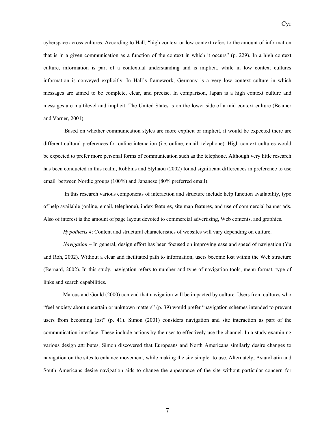cyberspace across cultures. According to Hall, "high context or low context refers to the amount of information that is in a given communication as a function of the context in which it occurs" (p. 229). In a high context culture, information is part of a contextual understanding and is implicit, while in low context cultures information is conveyed explicitly. In Hall's framework, Germany is a very low context culture in which messages are aimed to be complete, clear, and precise. In comparison, Japan is a high context culture and messages are multilevel and implicit. The United States is on the lower side of a mid context culture (Beamer and Varner, 2001).

 Based on whether communication styles are more explicit or implicit, it would be expected there are different cultural preferences for online interaction (i.e. online, email, telephone). High context cultures would be expected to prefer more personal forms of communication such as the telephone. Although very little research has been conducted in this realm, Robbins and Styliaou (2002) found significant differences in preference to use email between Nordic groups (100%) and Japanese (80% preferred email).

 In this research various components of interaction and structure include help function availability, type of help available (online, email, telephone), index features, site map features, and use of commercial banner ads. Also of interest is the amount of page layout devoted to commercial advertising, Web contents, and graphics.

*Hypothesis 4*: Content and structural characteristics of websites will vary depending on culture.

*Navigation – In general, design effort has been focused on improving ease and speed of navigation (Yu*) and Roh, 2002). Without a clear and facilitated path to information, users become lost within the Web structure (Bernard, 2002). In this study, navigation refers to number and type of navigation tools, menu format, type of links and search capabilities.

Marcus and Gould (2000) contend that navigation will be impacted by culture. Users from cultures who "feel anxiety about uncertain or unknown matters" (p. 39) would prefer "navigation schemes intended to prevent users from becoming lost" (p. 41). Simon (2001) considers navigation and site interaction as part of the communication interface. These include actions by the user to effectively use the channel. In a study examining various design attributes, Simon discovered that Europeans and North Americans similarly desire changes to navigation on the sites to enhance movement, while making the site simpler to use. Alternately, Asian/Latin and South Americans desire navigation aids to change the appearance of the site without particular concern for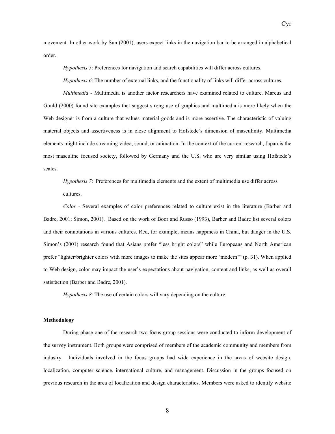movement. In other work by Sun (2001), users expect links in the navigation bar to be arranged in alphabetical order.

*Hypothesis 5*: Preferences for navigation and search capabilities will differ across cultures.

*Hypothesis 6*: The number of external links, and the functionality of links will differ across cultures.

*Multimedia -* Multimedia is another factor researchers have examined related to culture. Marcus and Gould (2000) found site examples that suggest strong use of graphics and multimedia is more likely when the Web designer is from a culture that values material goods and is more assertive. The characteristic of valuing material objects and assertiveness is in close alignment to Hofstede's dimension of masculinity. Multimedia elements might include streaming video, sound, or animation. In the context of the current research, Japan is the most masculine focused society, followed by Germany and the U.S. who are very similar using Hofstede's scales.

*Hypothesis 7*: Preferences for multimedia elements and the extent of multimedia use differ across cultures.

*Color* - Several examples of color preferences related to culture exist in the literature (Barber and Badre, 2001; Simon, 2001). Based on the work of Boor and Russo (1993), Barber and Badre list several colors and their connotations in various cultures. Red, for example, means happiness in China, but danger in the U.S. Simon's (2001) research found that Asians prefer "less bright colors" while Europeans and North American prefer "lighter/brighter colors with more images to make the sites appear more 'modern'" (p. 31). When applied to Web design, color may impact the user's expectations about navigation, content and links, as well as overall satisfaction (Barber and Badre, 2001).

*Hypothesis 8*: The use of certain colors will vary depending on the culture.

## **Methodology**

During phase one of the research two focus group sessions were conducted to inform development of the survey instrument. Both groups were comprised of members of the academic community and members from industry. Individuals involved in the focus groups had wide experience in the areas of website design, localization, computer science, international culture, and management. Discussion in the groups focused on previous research in the area of localization and design characteristics. Members were asked to identify website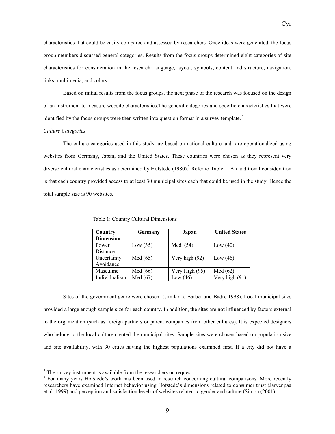characteristics that could be easily compared and assessed by researchers. Once ideas were generated, the focus group members discussed general categories. Results from the focus groups determined eight categories of site characteristics for consideration in the research: language, layout, symbols, content and structure, navigation, links, multimedia, and colors.

Based on initial results from the focus groups, the next phase of the research was focused on the design of an instrument to measure website characteristics.The general categories and specific characteristics that were identified by the focus groups were then written into question format in a survey template. $2$ 

### *Culture Categories*

 $\overline{a}$ 

The culture categories used in this study are based on national culture and are operationalized using websites from Germany, Japan, and the United States. These countries were chosen as they represent very diverse cultural characteristics as determined by Hofstede (1980).<sup>3</sup> Refer to Table 1. An additional consideration is that each country provided access to at least 30 municipal sites each that could be used in the study. Hence the total sample size is 90 websites.

| Country          | Germany    | Japan          | <b>United States</b> |  |
|------------------|------------|----------------|----------------------|--|
| <b>Dimension</b> |            |                |                      |  |
| Power            | Low(35)    | Med $(54)$     | Low $(40)$           |  |
| Distance         |            |                |                      |  |
| Uncertainty      | Med $(65)$ | Very high (92) | Low $(46)$           |  |
| Avoidance        |            |                |                      |  |
| Masculine        | Med $(66)$ | Very High (95) | Med $(62)$           |  |
| Individualism    | Med $(67)$ | Low $(46)$     | Very high (91)       |  |

Table 1: Country Cultural Dimensions

Sites of the government genre were chosen (similar to Barber and Badre 1998). Local municipal sites provided a large enough sample size for each country. In addition, the sites are not influenced by factors external to the organization (such as foreign partners or parent companies from other cultures). It is expected designers who belong to the local culture created the municipal sites. Sample sites were chosen based on population size and site availability, with 30 cities having the highest populations examined first. If a city did not have a

 $^{2}$  The survey instrument is available from the researchers on request.

<sup>&</sup>lt;sup>3</sup> For many years Hofstede's work has been used in research concerning cultural comparisons. More recently researchers have examined Internet behavior using Hofstede's dimensions related to consumer trust (Jarvenpaa et al. 1999) and perception and satisfaction levels of websites related to gender and culture (Simon (2001).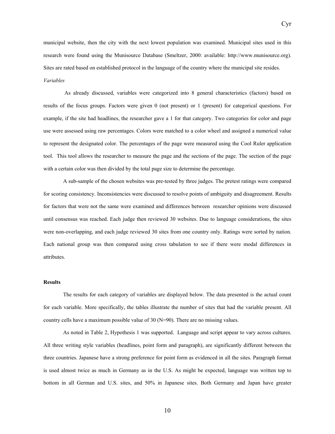municipal website, then the city with the next lowest population was examined. Municipal sites used in this research were found using the Munisource Database (Smeltzer, 2000: available: http://www.munisource.org). Sites are rated based on established protocol in the language of the country where the municipal site resides. *Variables*

Cyr

 As already discussed, variables were categorized into 8 general characteristics (factors) based on results of the focus groups. Factors were given 0 (not present) or 1 (present) for categorical questions. For example, if the site had headlines, the researcher gave a 1 for that category. Two categories for color and page use were assessed using raw percentages. Colors were matched to a color wheel and assigned a numerical value to represent the designated color. The percentages of the page were measured using the Cool Ruler application tool. This tool allows the researcher to measure the page and the sections of the page. The section of the page with a certain color was then divided by the total page size to determine the percentage.

A sub-sample of the chosen websites was pre-tested by three judges. The pretest ratings were compared for scoring consistency. Inconsistencies were discussed to resolve points of ambiguity and disagreement. Results for factors that were not the same were examined and differences between researcher opinions were discussed until consensus was reached. Each judge then reviewed 30 websites. Due to language considerations, the sites were non-overlapping, and each judge reviewed 30 sites from one country only. Ratings were sorted by nation. Each national group was then compared using cross tabulation to see if there were modal differences in attributes.

## **Results**

The results for each category of variables are displayed below. The data presented is the actual count for each variable. More specifically, the tables illustrate the number of sites that had the variable present. All country cells have a maximum possible value of 30 (N=90). There are no missing values.

As noted in Table 2, Hypothesis 1 was supported. Language and script appear to vary across cultures. All three writing style variables (headlines, point form and paragraph), are significantly different between the three countries. Japanese have a strong preference for point form as evidenced in all the sites. Paragraph format is used almost twice as much in Germany as in the U.S. As might be expected, language was written top to bottom in all German and U.S. sites, and 50% in Japanese sites. Both Germany and Japan have greater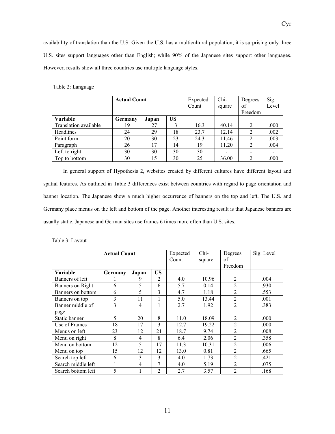availability of translation than the U.S. Given the U.S. has a multicultural population, it is surprising only three U.S. sites support languages other than English; while 90% of the Japanese sites support other languages. However, results show all three countries use multiple language styles.

|  | Table 2: Language |
|--|-------------------|
|--|-------------------|

|                       | <b>Actual Count</b> |       |    | Expected | Chi-                     | Degrees        | Sig.  |
|-----------------------|---------------------|-------|----|----------|--------------------------|----------------|-------|
|                       |                     |       |    | Count    | square                   | of             | Level |
|                       |                     |       |    |          |                          | Freedom        |       |
| Variable              | Germany             | Japan | US |          |                          |                |       |
| Translation available | 19                  | 27    | 3  | 16.3     | 40.14                    | $\overline{2}$ | .000  |
| Headlines             | 24                  | 29    | 18 | 23.7     | 12.14                    | $\overline{2}$ | .002  |
| Point form            | 20                  | 30    | 23 | 24.3     | 11.46                    | $\overline{2}$ | .003  |
| Paragraph             | 26                  | 17    | 14 | 19       | 11.20                    | $\overline{2}$ | .004  |
| Left to right         | 30                  | 30    | 30 | 30       | $\overline{\phantom{a}}$ |                |       |
| Top to bottom         | 30                  | 15    | 30 | 25       | 36.00                    | $\overline{2}$ | .000  |

In general support of Hypothesis 2, websites created by different cultures have different layout and spatial features. As outlined in Table 3 differences exist between countries with regard to page orientation and banner location. The Japanese show a much higher occurrence of banners on the top and left. The U.S. and Germany place menus on the left and bottom of the page. Another interesting result is that Japanese banners are usually static. Japanese and German sites use frames 6 times more often than U.S. sites.

|  |  |  | Table 3: Layout |
|--|--|--|-----------------|
|--|--|--|-----------------|

|                    | <b>Actual Count</b> |                | Expected<br>Count | Chi-<br>square | Degrees<br>of<br>Freedom | Sig. Level     |      |
|--------------------|---------------------|----------------|-------------------|----------------|--------------------------|----------------|------|
| Variable           | Germany             | Japan          | <b>US</b>         |                |                          |                |      |
| Banners of left    |                     | 9              | $\overline{2}$    | 4.0            | 10.96                    | $\overline{2}$ | .004 |
| Banners on Right   | 6                   | 5              | 6                 | 5.7            | 0.14                     | $\overline{2}$ | .930 |
| Banners on bottom  | 6                   | 5              | 3                 | 4.7            | 1.18                     | $\overline{2}$ | .553 |
| Banners on top     | 3                   | 11             |                   | 5.0            | 13.44                    | $\overline{2}$ | .001 |
| Banner middle of   | 3                   | $\overline{4}$ | 1                 | 2.7            | 1.92                     | $\overline{2}$ | .383 |
| page               |                     |                |                   |                |                          |                |      |
| Static banner      | 5                   | 20             | 8                 | 11.0           | 18.09                    | $\overline{2}$ | .000 |
| Use of Frames      | 18                  | 17             | 3                 | 12.7           | 19.22                    | $\overline{2}$ | .000 |
| Menus on left      | 23                  | 12             | 21                | 18.7           | 9.74                     | $\overline{2}$ | .008 |
| Menu on right      | 8                   | $\overline{4}$ | 8                 | 6.4            | 2.06                     | $\overline{2}$ | .358 |
| Menu on bottom     | 12                  | 5              | 17                | 11.3           | 10.31                    | $\mathfrak{D}$ | .006 |
| Menu on top        | 15                  | 12             | 12                | 13.0           | 0.81                     | $\mathfrak{D}$ | .665 |
| Search top left    | 6                   | 3              | 3                 | 4.0            | 1.73                     | $\overline{2}$ | .421 |
| Search middle left | 1                   | 4              | 7                 | 4.0            | 5.19                     | $\mathfrak{D}$ | .075 |
| Search bottom left | 5                   |                | $\overline{2}$    | 2.7            | 3.57                     | $\mathfrak{D}$ | .168 |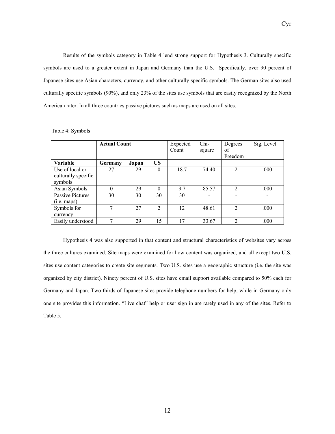Results of the symbols category in Table 4 lend strong support for Hypothesis 3. Culturally specific symbols are used to a greater extent in Japan and Germany than the U.S. Specifically, over 90 percent of Japanese sites use Asian characters, currency, and other culturally specific symbols. The German sites also used culturally specific symbols (90%), and only 23% of the sites use symbols that are easily recognized by the North American rater. In all three countries passive pictures such as maps are used on all sites.

|                         | <b>Actual Count</b> |       |           | Expected | Chi-   | Degrees        | Sig. Level |
|-------------------------|---------------------|-------|-----------|----------|--------|----------------|------------|
|                         |                     |       |           | Count    | square | of             |            |
|                         |                     |       |           |          |        | Freedom        |            |
| <b>Variable</b>         | Germany             | Japan | <b>US</b> |          |        |                |            |
| Use of local or         | 27                  | 29    | $\theta$  | 18.7     | 74.40  | $\overline{2}$ | .000       |
| culturally specific     |                     |       |           |          |        |                |            |
| symbols                 |                     |       |           |          |        |                |            |
| Asian Symbols           | $\Omega$            | 29    | $\theta$  | 9.7      | 85.57  | $\overline{2}$ | .000       |
| <b>Passive Pictures</b> | 30                  | 30    | 30        | 30       |        |                |            |
| (i.e. maps)             |                     |       |           |          |        |                |            |
| Symbols for             | 7                   | 27    | 2         | 12       | 48.61  | $\overline{2}$ | .000       |
| currency                |                     |       |           |          |        |                |            |
| Easily understood       |                     | 29    | 15        | 17       | 33.67  | C              | .000       |

Table 4: Symbols

Hypothesis 4 was also supported in that content and structural characteristics of websites vary across the three cultures examined. Site maps were examined for how content was organized, and all except two U.S. sites use content categories to create site segments. Two U.S. sites use a geographic structure (i.e. the site was organized by city district). Ninety percent of U.S. sites have email support available compared to 50% each for Germany and Japan. Two thirds of Japanese sites provide telephone numbers for help, while in Germany only one site provides this information. "Live chat" help or user sign in are rarely used in any of the sites. Refer to Table 5.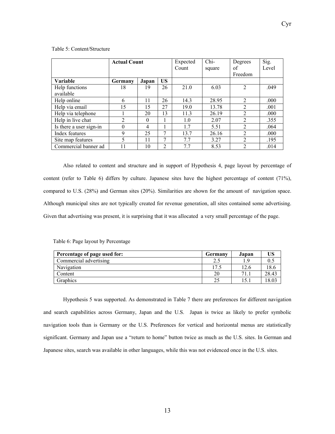|                         | <b>Actual Count</b> |                |           | Expected | Chi-   | Degrees        | Sig.  |
|-------------------------|---------------------|----------------|-----------|----------|--------|----------------|-------|
|                         |                     |                |           | Count    | square | οf             | Level |
|                         |                     |                |           |          |        | Freedom        |       |
| <b>Variable</b>         | Germany             | Japan          | <b>US</b> |          |        |                |       |
| Help functions          | 18                  | 19             | 26        | 21.0     | 6.03   | $\overline{2}$ | .049  |
| available               |                     |                |           |          |        |                |       |
| Help online             | 6                   | 11             | 26        | 14.3     | 28.95  | $\overline{2}$ | .000  |
| Help via email          | 15                  | 15             | 27        | 19.0     | 13.78  | 2              | .001  |
| Help via telephone      |                     | 20             | 13        | 11.3     | 26.19  | $\overline{2}$ | .000  |
| Help in live chat       | $\mathfrak{D}$      | $\Omega$       |           | 1.0      | 2.07   | 2              | .355  |
| Is there a user sign-in | $\theta$            | $\overline{4}$ |           | 1.7      | 5.51   | $\overline{2}$ | .064  |
| Index features          | 9                   | 25             | 7         | 13.7     | 26.16  | $\overline{2}$ | .000  |
| Site map features       | 5                   | 11             | 7         | 7.7      | 3.27   | 2              | .195  |
| Commercial banner ad    |                     | 10             | 2         | 7.7      | 8.53   | $\overline{2}$ | .014  |

Table 5: Content/Structure

Also related to content and structure and in support of Hypothesis 4, page layout by percentage of content (refer to Table 6) differs by culture. Japanese sites have the highest percentage of content (71%), compared to U.S. (28%) and German sites (20%). Similarities are shown for the amount of navigation space. Although municipal sites are not typically created for revenue generation, all sites contained some advertising. Given that advertising was present, it is surprising that it was allocated a very small percentage of the page.

|  |  | Table 6: Page layout by Percentage |  |
|--|--|------------------------------------|--|
|--|--|------------------------------------|--|

| Percentage of page used for: | Germany | Japan | US    |
|------------------------------|---------|-------|-------|
| Commercial advertising       |         | - 0   |       |
| Navigation                   | 17.5    | 12.6  | 8.6   |
| Content                      | 20      | 71.1  | 28.43 |
| Graphics                     |         |       | 18.03 |

 Hypothesis 5 was supported. As demonstrated in Table 7 there are preferences for different navigation and search capabilities across Germany, Japan and the U.S. Japan is twice as likely to prefer symbolic navigation tools than is Germany or the U.S. Preferences for vertical and horizontal menus are statistically significant. Germany and Japan use a "return to home" button twice as much as the U.S. sites. In German and Japanese sites, search was available in other languages, while this was not evidenced once in the U.S. sites.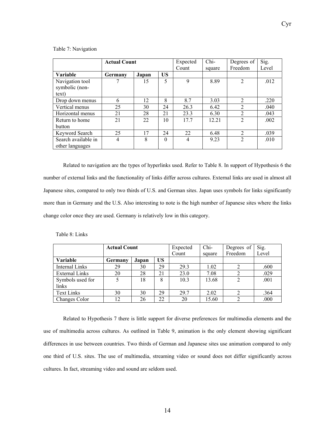|                     | <b>Actual Count</b> |       |          | Expected<br>Count | $Chi-$<br>square | Degrees of<br>Freedom | Sig.<br>Level |
|---------------------|---------------------|-------|----------|-------------------|------------------|-----------------------|---------------|
| <b>Variable</b>     | Germany             | Japan | US       |                   |                  |                       |               |
| Navigation tool     |                     | 15    | 5        | 9                 | 8.89             | $\overline{2}$        | .012          |
| symbolic (non-      |                     |       |          |                   |                  |                       |               |
| text)               |                     |       |          |                   |                  |                       |               |
| Drop down menus     | 6                   | 12    | 8        | 8.7               | 3.03             | $\overline{2}$        | .220          |
| Vertical menus      | 25                  | 30    | 24       | 26.3              | 6.42             | $\overline{2}$        | .040          |
| Horizontal menus    | 21                  | 28    | 21       | 23.3              | 6.30             | $\mathfrak{D}$        | .043          |
| Return to home      | 21                  | 22    | 10       | 17.7              | 12.21            | $\overline{2}$        | .002          |
| button              |                     |       |          |                   |                  |                       |               |
| Keyword Search      | 25                  | 17    | 24       | 22                | 6.48             | $\overline{2}$        | .039          |
| Search available in | 4                   | 8     | $\Omega$ | $\overline{4}$    | 9.23             | $\overline{2}$        | .010          |
| other languages     |                     |       |          |                   |                  |                       |               |

Related to navigation are the types of hyperlinks used. Refer to Table 8. In support of Hypothesis 6 the number of external links and the functionality of links differ across cultures. External links are used in almost all Japanese sites, compared to only two thirds of U.S. and German sites. Japan uses symbols for links significantly more than in Germany and the U.S. Also interesting to note is the high number of Japanese sites where the links change color once they are used. Germany is relatively low in this category.

Table 8: Links

|                       | <b>Actual Count</b> |       |           | Expected | $Chi-$ | Degrees of | Sig.  |
|-----------------------|---------------------|-------|-----------|----------|--------|------------|-------|
|                       |                     |       |           | Count    | square | Freedom    | Level |
| Variable              | Germany             | Japan | <b>US</b> |          |        |            |       |
| Internal Links        | 29                  | 30    | 29        | 29.3     | 1.02   |            | .600  |
| <b>External Links</b> | 20                  | 28    | 21        | 23.0     | 7.08   |            | .029  |
| Symbols used for      |                     | 18    | 8         | 10.3     | 13.68  |            | .001  |
| links                 |                     |       |           |          |        |            |       |
| <b>Text Links</b>     | 30                  | 30    | 29        | 29.7     | 2.02   |            | .364  |
| Changes Color         |                     | 26    | 22        | 20       | 15.60  |            | .000  |

Related to Hypothesis 7 there is little support for diverse preferences for multimedia elements and the use of multimedia across cultures. As outlined in Table 9, animation is the only element showing significant differences in use between countries. Two thirds of German and Japanese sites use animation compared to only one third of U.S. sites. The use of multimedia, streaming video or sound does not differ significantly across cultures. In fact, streaming video and sound are seldom used.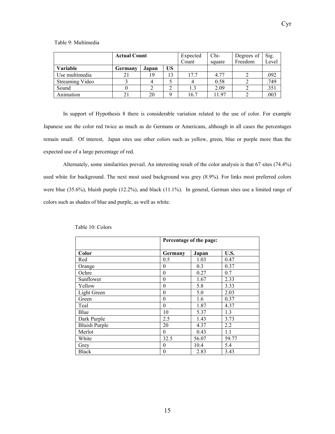|                 | <b>Actual Count</b> |       |          | Expected | Chi-   | Degrees of | Sig.  |
|-----------------|---------------------|-------|----------|----------|--------|------------|-------|
|                 |                     |       |          | Count    | square | Freedom    | Level |
| Variable        | Germany             | Japan | US       |          |        |            |       |
| Use multimedia  |                     | 19    | 13       | 17.7     | 4.77   |            | .092  |
| Streaming Video |                     |       |          |          | 0.58   |            | .749  |
| Sound           |                     |       |          | 1.3      | 2.09   |            | .351  |
| Animation       |                     | 20    | $\Omega$ | 16.7     | 11.97  |            | .003  |

In support of Hypothesis 8 there is considerable variation related to the use of color. For example Japanese use the color red twice as much as do Germans or Americans, although in all cases the percentages remain small. Of interest, Japan sites use other colors such as yellow, green, blue or purple more than the expected use of a large percentage of red.

Alternately, some similarities prevail. An interesting result of the color analysis is that 67 sites (74.4%) used white for background. The next most used background was grey (8.9%). For links most preferred colors were blue (35.6%), bluish purple (12.2%), and black (11.1%). In general, German sites use a limited range of colors such as shades of blue and purple, as well as white.

|                      | Percentage of the page: |       |       |  |  |
|----------------------|-------------------------|-------|-------|--|--|
| Color                | Germany                 | Japan | U.S.  |  |  |
| Red                  | 0.5                     | 1.03  | 0.47  |  |  |
| Orange               | $\theta$                | 0.3   | 0.37  |  |  |
| Ochre                | $\theta$                | 0.27  | 0.7   |  |  |
| Sunflower            | $\overline{0}$          | 1.67  | 2.33  |  |  |
| Yellow               | $\overline{0}$          | 5.8   | 3.33  |  |  |
| Light Green          | $\theta$                | 5.0   | 2.03  |  |  |
| Green                | $\overline{0}$          | 1.6   | 0.37  |  |  |
| Teal                 | $\overline{0}$          | 1.87  | 4.37  |  |  |
| Blue                 | 10                      | 5.37  | 1.3   |  |  |
| Dark Purple          | 2.5                     | 1.43  | 3.73  |  |  |
| <b>Bluish Purple</b> | 20                      | 4.37  | 2.2   |  |  |
| Merlot               | $\theta$                | 0.43  | 1.1   |  |  |
| White                | 32.5                    | 56.07 | 59.77 |  |  |
| Grey                 | $\theta$                | 10.4  | 5.4   |  |  |
| <b>Black</b>         | $\boldsymbol{0}$        | 2.83  | 3.43  |  |  |

|  | Table 10: Colors |
|--|------------------|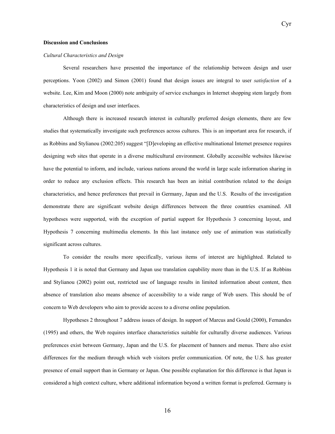#### *Cultural Characteristics and Design*

Several researchers have presented the importance of the relationship between design and user perceptions. Yoon (2002) and Simon (2001) found that design issues are integral to user *satisfaction* of a website. Lee, Kim and Moon (2000) note ambiguity of service exchanges in Internet shopping stem largely from characteristics of design and user interfaces.

Although there is increased research interest in culturally preferred design elements, there are few studies that systematically investigate such preferences across cultures. This is an important area for research, if as Robbins and Stylianou (2002:205) suggest "[D]eveloping an effective multinational Internet presence requires designing web sites that operate in a diverse multicultural environment. Globally accessible websites likewise have the potential to inform, and include, various nations around the world in large scale information sharing in order to reduce any exclusion effects. This research has been an initial contribution related to the design characteristics, and hence preferences that prevail in Germany, Japan and the U.S. Results of the investigation demonstrate there are significant website design differences between the three countries examined. All hypotheses were supported, with the exception of partial support for Hypothesis 3 concerning layout, and Hypothesis 7 concerning multimedia elements. In this last instance only use of animation was statistically significant across cultures.

To consider the results more specifically, various items of interest are highlighted. Related to Hypothesis 1 it is noted that Germany and Japan use translation capability more than in the U.S. If as Robbins and Stylianou (2002) point out, restricted use of language results in limited information about content, then absence of translation also means absence of accessibility to a wide range of Web users. This should be of concern to Web developers who aim to provide access to a diverse online population.

Hypotheses 2 throughout 7 address issues of design. In support of Marcus and Gould (2000), Fernandes (1995) and others, the Web requires interface characteristics suitable for culturally diverse audiences. Various preferences exist between Germany, Japan and the U.S. for placement of banners and menus. There also exist differences for the medium through which web visitors prefer communication. Of note, the U.S. has greater presence of email support than in Germany or Japan. One possible explanation for this difference is that Japan is considered a high context culture, where additional information beyond a written format is preferred. Germany is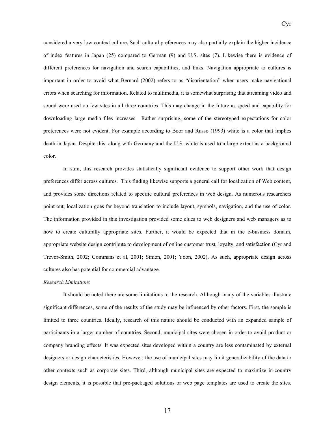considered a very low context culture. Such cultural preferences may also partially explain the higher incidence of index features in Japan (25) compared to German (9) and U.S. sites (7). Likewise there is evidence of different preferences for navigation and search capabilities, and links. Navigation appropriate to cultures is important in order to avoid what Bernard (2002) refers to as "disorientation" when users make navigational errors when searching for information. Related to multimedia, it is somewhat surprising that streaming video and sound were used on few sites in all three countries. This may change in the future as speed and capability for downloading large media files increases. Rather surprising, some of the stereotyped expectations for color preferences were not evident. For example according to Boor and Russo (1993) white is a color that implies death in Japan. Despite this, along with Germany and the U.S. white is used to a large extent as a background color.

Cyr

In sum, this research provides statistically significant evidence to support other work that design preferences differ across cultures. This finding likewise supports a general call for localization of Web content, and provides some directions related to specific cultural preferences in web design. As numerous researchers point out, localization goes far beyond translation to include layout, symbols, navigation, and the use of color. The information provided in this investigation provided some clues to web designers and web managers as to how to create culturally appropriate sites. Further, it would be expected that in the e-business domain, appropriate website design contribute to development of online customer trust, loyalty, and satisfaction (Cyr and Trevor-Smith, 2002; Gommans et al, 2001; Simon, 2001; Yoon, 2002). As such, appropriate design across cultures also has potential for commercial advantage.

#### *Research Limitations*

It should be noted there are some limitations to the research. Although many of the variables illustrate significant differences, some of the results of the study may be influenced by other factors. First, the sample is limited to three countries. Ideally, research of this nature should be conducted with an expanded sample of participants in a larger number of countries. Second, municipal sites were chosen in order to avoid product or company branding effects. It was expected sites developed within a country are less contaminated by external designers or design characteristics. However, the use of municipal sites may limit generalizability of the data to other contexts such as corporate sites. Third, although municipal sites are expected to maximize in-country design elements, it is possible that pre-packaged solutions or web page templates are used to create the sites.

17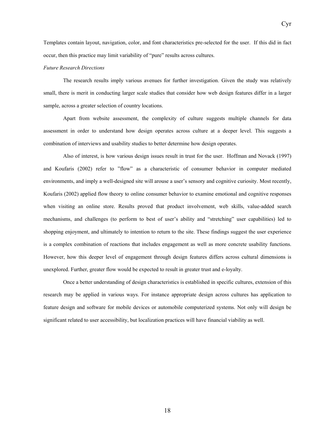Templates contain layout, navigation, color, and font characteristics pre-selected for the user. If this did in fact occur, then this practice may limit variability of "pure" results across cultures.

Cyr

#### *Future Research Directions*

The research results imply various avenues for further investigation. Given the study was relatively small, there is merit in conducting larger scale studies that consider how web design features differ in a larger sample, across a greater selection of country locations.

 Apart from website assessment, the complexity of culture suggests multiple channels for data assessment in order to understand how design operates across culture at a deeper level. This suggests a combination of interviews and usability studies to better determine how design operates.

Also of interest, is how various design issues result in trust for the user. Hoffman and Novack (1997) and Koufaris (2002) refer to "flow" as a characteristic of consumer behavior in computer mediated environments, and imply a well-designed site will arouse a user's sensory and cognitive curiosity. Most recently, Koufaris (2002) applied flow theory to online consumer behavior to examine emotional and cognitive responses when visiting an online store. Results proved that product involvement, web skills, value-added search mechanisms, and challenges (to perform to best of user's ability and "stretching" user capabilities) led to shopping enjoyment, and ultimately to intention to return to the site. These findings suggest the user experience is a complex combination of reactions that includes engagement as well as more concrete usability functions. However, how this deeper level of engagement through design features differs across cultural dimensions is unexplored. Further, greater flow would be expected to result in greater trust and e-loyalty.

 Once a better understanding of design characteristics is established in specific cultures, extension of this research may be applied in various ways. For instance appropriate design across cultures has application to feature design and software for mobile devices or automobile computerized systems. Not only will design be significant related to user accessibility, but localization practices will have financial viability as well.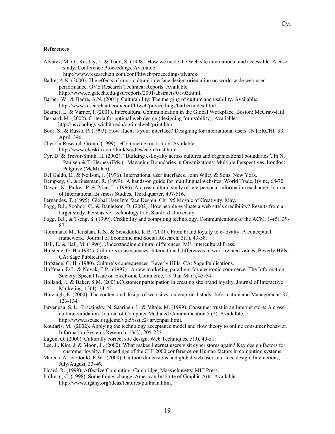### **References**

Alvarez, M. G., Kasday, L. & Todd, S. (1998). How we made the Web site international and accessible: A case study. Conference Proceedings. Available:

http://www.research.att.com/conf/hfweb/proceedings/alvarez/

Badre, A.N. (2000). The effects of cross cultural interface design orientation on world wide web user performance. GVE Research Technical Reports. Available: http://www.cc.gatech.edu/gvu/reports/2001/abstracts/01-03.html.

- Barber, W., & Badre, A.N. (2001). Culturability: The merging of culture and usability. Available: http://www.research.att.com/conf/hfweb/proceedings/barber/index.html.
- Beamer, L. & Varner, I. (2001). Intercultural Communication in the Global Workplace*.* Boston: McGraw-Hill.

Bernard, M. (2002). Criteria for optimal web design (designing for usability). Available:

http://psychology.wichita.edu/optimalweb/print.htm

- Boor, S., & Russo, P. (1993). How fluent is your interface? Designing for international users. INTERCHI '93, April, 346.
- Cheskin Research Group. (1999). eCommerce trust study. Available: http://www.cheskin.com/think/studies/ecomtrust.html.
- Cyr, D. & Trevor-Smith, H. (2002). "Building e-Loyalty across cultures and organizational boundaries". In N. Paulsen & T. Hernes (Eds.). Managing Boundaries in Organizations: Multiple Perspectives. London: Palgrave (McMillan).
- Del Galdo, E., & Neilson, J. (1996). International user interfaces*.* John Wiley & Sons, New York.
- Dempsey, G. & Sussman, R. (1999). A hands-on guide for multilingual websites. World Trade, Irvine, 68-70.
- Dawar, N., Parker, P. & Price, L. (1996). A cross-cultural study of interpersonal information exchange. Journal of International Business Studies, Third quarter, 497-516.
- Fernandes, T. (1995). Global User Interface Design. Chi '95 Mosaic of Creativity, May.
- Fogg, B.J., Soohoo, C., & Danielson, D. (2002). How people evaluate a web site's credibility? Results from a larger study. Persuasive Technology Lab, Stanford University.
- Fogg, B.J., & Tseng, S. (1999). Credibility and computing technology*.* Communications of the ACM*,* 14(5), 39- 87.
- Gommans, M., Krishan, K.S., & Scheddold, K.B. (2001). From brand loyalty to e-loyalty: A conceptual framework. Journal of Economic and Social Research*,* 3(1), 43-58.
- Hall, E. & Hall, M. (1990). Understanding cultural differences. ME: Intercultural Press.
- Hofstede, G. H. (1984). Culture's consequences: International differences in work-related values. Beverly Hills, CA: Sage Publications.
- Hofstede, G. H. (1980). Culture's consequences. Beverly Hills, CA: Sage Publications.
- Hoffman, D.L. & Novak, T.P.. (1997). A new marketing paradigm for electronic commerce. The Information Society, Special Issue on Electronic Commerce, 13 (Jan-Mar.), 43-54.
- Holland, J., & Baker, S.M. (2001).Customer participation in creating site brand loyalty. Journal of Interactive Marketing*,* 15(4), 34-45.
- Huizingh, E. (2000). The content and design of web sites: an empirical study. Information and Management. 37, 123-134.
- Jarvenpaa, S. L., Tractinsky, N, Saarinen, L. & Vitale, M. (1999). Consumer trust in an Internet store: A crosscultural validation. Journal of Computer Mediated Communication 5 (2). Availalble: http://www.ascusc.org/jcmc/vol5/issue2/jarvenpaa.html.
- Koufaris, M. (2002). Applying the technology acceptance model and flow theory to online consumer behavior. Information Systems Research, 13(2), 205-223.
- Lagon, O. (2000). Culturally correct site design. Web Techniques, 5(9), 49-51.
- Lee, J., Kim, J. & Moon, J.. (2000). What makes Internet users visit cyber stores again? Key design factors for customer loyalty. Proceedings of the CHI 2000 conference on Human factors in computing systems.
- Marcus, A., & Gould, E.W. (2000). Cultural dimensions and global web user-interface design. Interactions, July/August, 33-46.
- Picard, R. (1998). Affective Computing. Cambridge, Massachusetts: MIT Press.
- Pullman, C. (1998). Some things change. American Institute of Graphic Arts. Available: http://www.aigany.org/ideas/features/pullman.html.